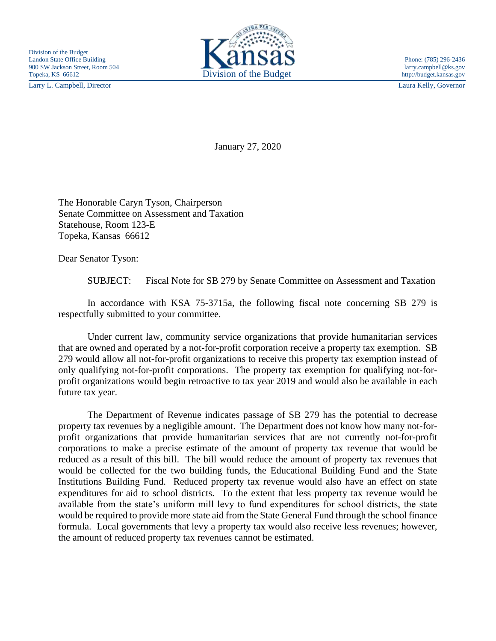Larry L. Campbell, Director Laura Kelly, Governor



January 27, 2020

The Honorable Caryn Tyson, Chairperson Senate Committee on Assessment and Taxation Statehouse, Room 123-E Topeka, Kansas 66612

Dear Senator Tyson:

SUBJECT: Fiscal Note for SB 279 by Senate Committee on Assessment and Taxation

In accordance with KSA 75-3715a, the following fiscal note concerning SB 279 is respectfully submitted to your committee.

Under current law, community service organizations that provide humanitarian services that are owned and operated by a not-for-profit corporation receive a property tax exemption. SB 279 would allow all not-for-profit organizations to receive this property tax exemption instead of only qualifying not-for-profit corporations. The property tax exemption for qualifying not-forprofit organizations would begin retroactive to tax year 2019 and would also be available in each future tax year.

The Department of Revenue indicates passage of SB 279 has the potential to decrease property tax revenues by a negligible amount. The Department does not know how many not-forprofit organizations that provide humanitarian services that are not currently not-for-profit corporations to make a precise estimate of the amount of property tax revenue that would be reduced as a result of this bill. The bill would reduce the amount of property tax revenues that would be collected for the two building funds, the Educational Building Fund and the State Institutions Building Fund. Reduced property tax revenue would also have an effect on state expenditures for aid to school districts. To the extent that less property tax revenue would be available from the state's uniform mill levy to fund expenditures for school districts, the state would be required to provide more state aid from the State General Fund through the school finance formula. Local governments that levy a property tax would also receive less revenues; however, the amount of reduced property tax revenues cannot be estimated.